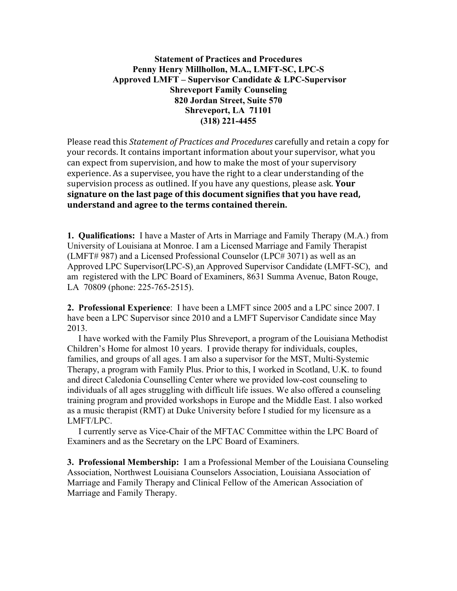## **Statement of Practices and Procedures Penny Henry Millhollon, M.A., LMFT-SC, LPC-S Approved LMFT – Supervisor Candidate & LPC-Supervisor Shreveport Family Counseling 820 Jordan Street, Suite 570 Shreveport, LA 71101 (318) 221-4455**

Please read this *Statement of Practices and Procedures* carefully and retain a copy for your records. It contains important information about your supervisor, what you can expect from supervision, and how to make the most of your supervisory experience. As a supervisee, you have the right to a clear understanding of the supervision process as outlined. If you have any questions, please ask. **Your** signature on the last page of this document signifies that you have read, understand and agree to the terms contained therein.

**1. Qualifications:** I have a Master of Arts in Marriage and Family Therapy (M.A.) from University of Louisiana at Monroe. I am a Licensed Marriage and Family Therapist (LMFT# 987) and a Licensed Professional Counselor (LPC# 3071) as well as an Approved LPC Supervisor(LPC-S)¸an Approved Supervisor Candidate (LMFT-SC), and am registered with the LPC Board of Examiners, 8631 Summa Avenue, Baton Rouge, LA 70809 (phone: 225-765-2515).

**2. Professional Experience**: I have been a LMFT since 2005 and a LPC since 2007. I have been a LPC Supervisor since 2010 and a LMFT Supervisor Candidate since May 2013.

 I have worked with the Family Plus Shreveport, a program of the Louisiana Methodist Children's Home for almost 10 years. I provide therapy for individuals, couples, families, and groups of all ages. I am also a supervisor for the MST, Multi-Systemic Therapy, a program with Family Plus. Prior to this, I worked in Scotland, U.K. to found and direct Caledonia Counselling Center where we provided low-cost counseling to individuals of all ages struggling with difficult life issues. We also offered a counseling training program and provided workshops in Europe and the Middle East. I also worked as a music therapist (RMT) at Duke University before I studied for my licensure as a LMFT/LPC.

 I currently serve as Vice-Chair of the MFTAC Committee within the LPC Board of Examiners and as the Secretary on the LPC Board of Examiners.

**3. Professional Membership:** I am a Professional Member of the Louisiana Counseling Association, Northwest Louisiana Counselors Association, Louisiana Association of Marriage and Family Therapy and Clinical Fellow of the American Association of Marriage and Family Therapy.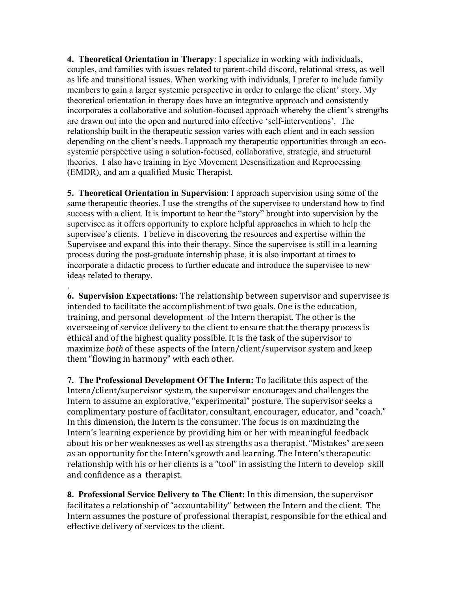**4. Theoretical Orientation in Therapy**: I specialize in working with individuals, couples, and families with issues related to parent-child discord, relational stress, as well as life and transitional issues. When working with individuals, I prefer to include family members to gain a larger systemic perspective in order to enlarge the client' story. My theoretical orientation in therapy does have an integrative approach and consistently incorporates a collaborative and solution-focused approach whereby the client's strengths are drawn out into the open and nurtured into effective 'self-interventions'. The relationship built in the therapeutic session varies with each client and in each session depending on the client's needs. I approach my therapeutic opportunities through an ecosystemic perspective using a solution-focused, collaborative, strategic, and structural theories. I also have training in Eye Movement Desensitization and Reprocessing (EMDR), and am a qualified Music Therapist.

**5. Theoretical Orientation in Supervision**: I approach supervision using some of the same therapeutic theories. I use the strengths of the supervisee to understand how to find success with a client. It is important to hear the "story" brought into supervision by the supervisee as it offers opportunity to explore helpful approaches in which to help the supervisee's clients. I believe in discovering the resources and expertise within the Supervisee and expand this into their therapy. Since the supervisee is still in a learning process during the post-graduate internship phase, it is also important at times to incorporate a didactic process to further educate and introduce the supervisee to new ideas related to therapy.

. **6. Supervision Expectations:** The relationship between supervisor and supervisee is intended to facilitate the accomplishment of two goals. One is the education, training, and personal development of the Intern therapist. The other is the overseeing of service delivery to the client to ensure that the therapy process is ethical and of the highest quality possible. It is the task of the supervisor to maximize *both* of these aspects of the Intern/client/supervisor system and keep them "flowing in harmony" with each other.

**7. The Professional Development Of The Intern:** To facilitate this aspect of the Intern/client/supervisor system, the supervisor encourages and challenges the Intern to assume an explorative, "experimental" posture. The supervisor seeks a complimentary posture of facilitator, consultant, encourager, educator, and "coach." In this dimension, the Intern is the consumer. The focus is on maximizing the Intern's learning experience by providing him or her with meaningful feedback about his or her weaknesses as well as strengths as a therapist. "Mistakes" are seen as an opportunity for the Intern's growth and learning. The Intern's therapeutic relationship with his or her clients is a "tool" in assisting the Intern to develop skill and confidence as a therapist.

**8. Professional Service Delivery to The Client:** In this dimension, the supervisor facilitates a relationship of "accountability" between the Intern and the client. The Intern assumes the posture of professional therapist, responsible for the ethical and effective delivery of services to the client.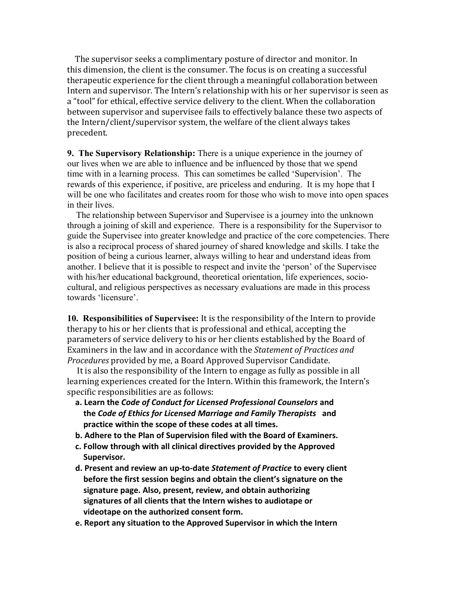The supervisor seeks a complimentary posture of director and monitor. In this dimension, the client is the consumer. The focus is on creating a successful therapeutic experience for the client through a meaningful collaboration between Intern and supervisor. The Intern's relationship with his or her supervisor is seen as a "tool" for ethical, effective service delivery to the client. When the collaboration between supervisor and supervisee fails to effectively balance these two aspects of the Intern/client/supervisor system, the welfare of the client always takes precedent.

**9. The Supervisory Relationship:** There is a unique experience in the journey of our lives when we are able to influence and be influenced by those that we spend time with in a learning process. This can sometimes be called 'Supervision'. The rewards of this experience, if positive, are priceless and enduring. It is my hope that I will be one who facilitates and creates room for those who wish to move into open spaces in their lives.

 The relationship between Supervisor and Supervisee is a journey into the unknown through a joining of skill and experience. There is a responsibility for the Supervisor to guide the Supervisee into greater knowledge and practice of the core competencies. There is also a reciprocal process of shared journey of shared knowledge and skills. I take the position of being a curious learner, always willing to hear and understand ideas from another. I believe that it is possible to respect and invite the 'person' of the Supervisee with his/her educational background, theoretical orientation, life experiences, sociocultural, and religious perspectives as necessary evaluations are made in this process towards 'licensure'.

**10. Responsibilities of Supervisee:** It is the responsibility of the Intern to provide therapy to his or her clients that is professional and ethical, accepting the parameters of service delivery to his or her clients established by the Board of Examiners in the law and in accordance with the *Statement of Practices and Procedures* provided by me, a Board Approved Supervisor Candidate.

It is also the responsibility of the Intern to engage as fully as possible in all learning experiences created for the Intern. Within this framework, the Intern's specific responsibilities are as follows:

- a. Learn the *Code of Conduct for Licensed Professional Counselors* and the Code of Ethics for Licensed Marriage and Family Therapists and practice within the scope of these codes at all times.
- **b.** Adhere to the Plan of Supervision filed with the Board of Examiners.
- c. Follow through with all clinical directives provided by the Approved Supervisor.
- d. Present and review an up-to-date Statement of Practice to every client before the first session begins and obtain the client's signature on the signature page. Also, present, review, and obtain authorizing signatures of all clients that the Intern wishes to audiotape or videotape on the authorized consent form.
- **e. Report any situation to the Approved Supervisor in which the Intern**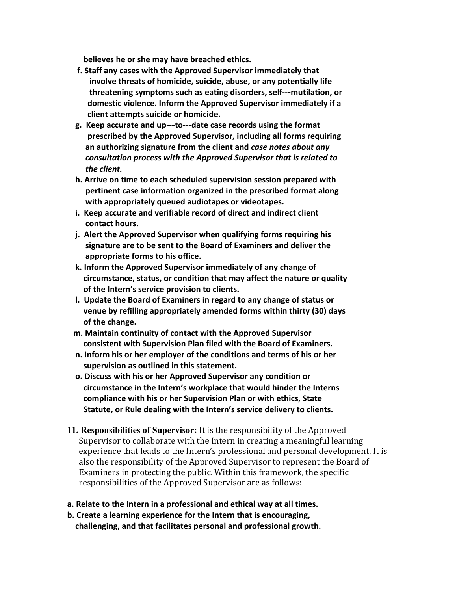**believes he or she may have breached ethics.** 

- f. Staff any cases with the Approved Supervisor immediately that involve threats of homicide, suicide, abuse, or any potentially life  **threatening symptoms such as eating disorders, self--‐mutilation, or domestic** violence. Inform the Approved Supervisor immediately if a  **client attempts suicide or homicide.**
- **g. Keep accurate and up--‐to--‐date case records using the format nescribed** by the Approved Supervisor, including all forms requiring  **an authorizing signature from the client and** *case notes about any <u>consultation process with the Approved Supervisor that is related to*</u>  *the client.*
- **h. Arrive on time to each scheduled supervision session prepared with pertinent case information organized in the prescribed format along with appropriately queued audiotapes or videotapes.**
- **i. Keep accurate and verifiable record of direct and indirect client contact hours.**
- **j. Alert the Approved Supervisor when qualifying forms requiring his signature are to be sent to the Board of Examiners and deliver the appropriate forms to his office.**
- **k. Inform the Approved Supervisor immediately of any change of circumstance, status, or condition that may affect the nature or quality of the Intern's service provision to clients.**
- **l. Update the Board of Examiners in regard to any change of status or xenue by refilling appropriately amended forms within thirty (30) days of the change.**
- **m. Maintain continuity of contact with the Approved Supervisor consistent with Supervision Plan filed with the Board of Examiners.**
- **n. Inform his or her employer of the conditions and terms of his or her supervision as outlined in this statement.**
- **o. Discuss with his or her Approved Supervisor any condition or circumstance in the Intern's workplace that would hinder the Interns compliance with his or her Supervision Plan or with ethics, State Statute, or Rule dealing with the Intern's service delivery to clients.**
- **11. Responsibilities of Supervisor:** It is the responsibility of the Approved Supervisor to collaborate with the Intern in creating a meaningful learning experience that leads to the Intern's professional and personal development. It is also the responsibility of the Approved Supervisor to represent the Board of Examiners in protecting the public. Within this framework, the specific responsibilities of the Approved Supervisor are as follows:
- **a. Relate to the Intern in a professional and ethical way at all times.**
- **b. Create a learning experience for the Intern that is encouraging, challenging, and that facilitates personal and professional growth.**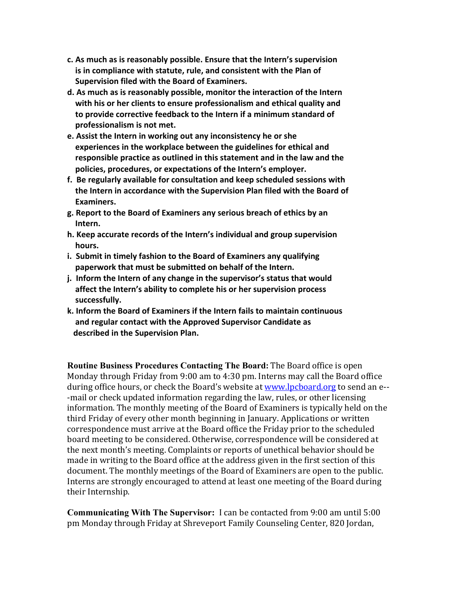- **c. As much as is reasonably possible. Ensure that the Intern's supervision is in compliance with statute, rule, and consistent with the Plan of Supervision filed with the Board of Examiners.**
- **d. As much as is reasonably possible, monitor the interaction of the Intern with his or her clients to ensure professionalism and ethical quality and to provide corrective feedback to the Intern if a minimum standard of professionalism is not met.**
- **e. Assist the Intern in working out any inconsistency he or she experiences in the workplace between the guidelines for ethical and responsible practice as outlined in this statement and in the law and the policies, procedures, or expectations of the Intern's employer.**
- **f. Be regularly available for consultation and keep scheduled sessions with the Intern in accordance with the Supervision Plan filed with the Board of** Examiners.
- **g. Report to the Board of Examiners any serious breach of ethics by an** Intern.
- **h. Keep accurate records of the Intern's individual and group supervision** hours.
- **i. Submit in timely fashion to the Board of Examiners any qualifying paperwork that must be submitted on behalf of the Intern.**
- **j. Inform the Intern of any change in the supervisor's status that would affect the Intern's ability to complete his or her supervision process** successfully.
- **k. Inform the Board of Examiners if the Intern fails to maintain continuous and regular contact with the Approved Supervisor Candidate as described in the Supervision Plan.**

**Routine Business Procedures Contacting The Board:** The Board office is open Monday through Friday from 9:00 am to 4:30 pm. Interns may call the Board office during office hours, or check the Board's website at www.lpcboard.org to send an e-- -mail or check updated information regarding the law, rules, or other licensing information. The monthly meeting of the Board of Examiners is typically held on the third Friday of every other month beginning in January. Applications or written correspondence must arrive at the Board office the Friday prior to the scheduled board meeting to be considered. Otherwise, correspondence will be considered at the next month's meeting. Complaints or reports of unethical behavior should be made in writing to the Board office at the address given in the first section of this document. The monthly meetings of the Board of Examiners are open to the public. Interns are strongly encouraged to attend at least one meeting of the Board during their Internship.

**Communicating With The Supervisor:** I can be contacted from 9:00 am until 5:00 pm Monday through Friday at Shreveport Family Counseling Center, 820 Jordan,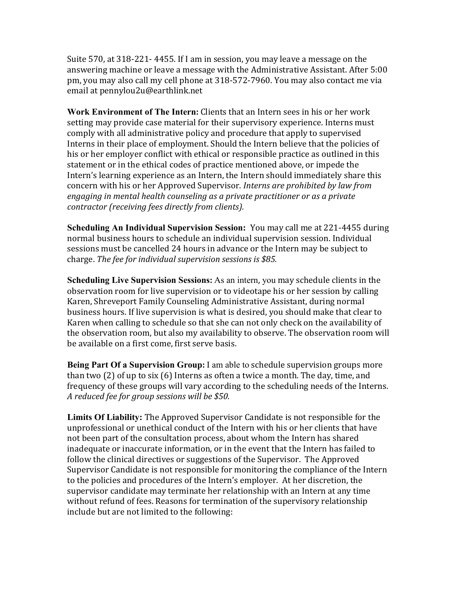Suite 570, at 318-221-4455. If I am in session, you may leave a message on the answering machine or leave a message with the Administrative Assistant. After 5:00 pm, you may also call my cell phone at 318-572-7960. You may also contact me via email at pennylou2u@earthlink.net

**Work Environment of The Intern:** Clients that an Intern sees in his or her work setting may provide case material for their supervisory experience. Interns must comply with all administrative policy and procedure that apply to supervised Interns in their place of employment. Should the Intern believe that the policies of his or her employer conflict with ethical or responsible practice as outlined in this statement or in the ethical codes of practice mentioned above, or impede the Intern's learning experience as an Intern, the Intern should immediately share this concern with his or her Approved Supervisor. *Interns are prohibited by law from engaging in mental health counseling as a private practitioner or as a private contractor (receiving fees directly from clients).*

**Scheduling An Individual Supervision Session:** You may call me at 221-4455 during normal business hours to schedule an individual supervision session. Individual sessions must be cancelled 24 hours in advance or the Intern may be subject to charge. The fee for individual supervision sessions is \$85.

**Scheduling Live Supervision Sessions:** As an intern, you may schedule clients in the observation room for live supervision or to videotape his or her session by calling Karen, Shreveport Family Counseling Administrative Assistant, during normal business hours. If live supervision is what is desired, you should make that clear to Karen when calling to schedule so that she can not only check on the availability of the observation room, but also my availability to observe. The observation room will be available on a first come, first serve basis.

**Being Part Of a Supervision Group:** I am able to schedule supervision groups more than two  $(2)$  of up to six  $(6)$  Interns as often a twice a month. The day, time, and frequency of these groups will vary according to the scheduling needs of the Interns. *A reduced fee for group sessions will be \$50.*

**Limits Of Liability:** The Approved Supervisor Candidate is not responsible for the unprofessional or unethical conduct of the Intern with his or her clients that have not been part of the consultation process, about whom the Intern has shared inadequate or inaccurate information, or in the event that the Intern has failed to follow the clinical directives or suggestions of the Supervisor. The Approved Supervisor Candidate is not responsible for monitoring the compliance of the Intern to the policies and procedures of the Intern's employer. At her discretion, the supervisor candidate may terminate her relationship with an Intern at any time without refund of fees. Reasons for termination of the supervisory relationship include but are not limited to the following: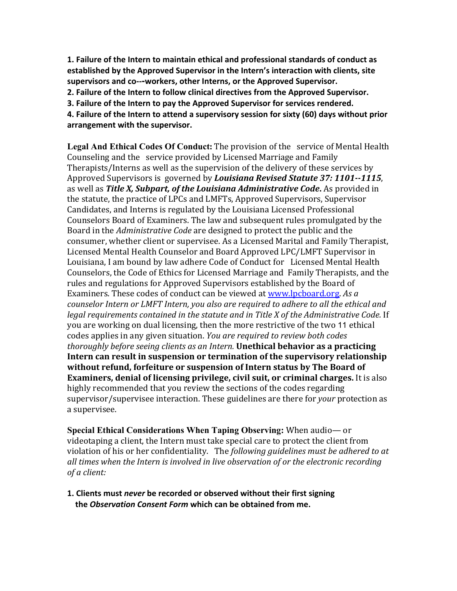**1. Failure of the Intern to maintain ethical and professional standards of conduct as established by the Approved Supervisor in the Intern's interaction with clients, site supervisors and co--‐workers, other Interns, or the Approved Supervisor. 2. Failure of the Intern to follow clinical directives from the Approved Supervisor.**

**3. Failure of the Intern to pay the Approved Supervisor for services rendered.**

**4. Failure of the Intern to attend a supervisory session for sixty (60) days without prior arrangement with the supervisor.**

**Legal And Ethical Codes Of Conduct:** The provision of the service of Mental Health Counseling and the service provided by Licensed Marriage and Family Therapists/Interns as well as the supervision of the delivery of these services by Approved Supervisors is governed by *Louisiana Revised Statute 37: 1101--1115*, as well as *Title X, Subpart, of the Louisiana Administrative Code***.** As provided in the statute, the practice of LPCs and LMFTs, Approved Supervisors, Supervisor Candidates, and Interns is regulated by the Louisiana Licensed Professional Counselors Board of Examiners. The law and subsequent rules promulgated by the Board in the *Administrative Code* are designed to protect the public and the consumer, whether client or supervisee. As a Licensed Marital and Family Therapist, Licensed Mental Health Counselor and Board Approved LPC/LMFT Supervisor in Louisiana, I am bound by law adhere Code of Conduct for Licensed Mental Health Counselors, the Code of Ethics for Licensed Marriage and Family Therapists, and the rules and regulations for Approved Supervisors established by the Board of Examiners. These codes of conduct can be viewed at www.lpcboard.org. As *a counselor Intern or LMFT Intern, you also are required to adhere to all the ethical and legal requirements contained in the statute and in Title X of the Administrative Code.* If you are working on dual licensing, then the more restrictive of the two 11 ethical codes applies in any given situation. *You are required to review both codes thoroughly before seeing clients as an Intern.* **Unethical behavior as a practicing Intern can result in suspension or termination of the supervisory relationship without refund, forfeiture or suspension of Intern status by The Board of Examiners, denial of licensing privilege, civil suit, or criminal charges.** It is also highly recommended that you review the sections of the codes regarding supervisor/supervisee interaction. These guidelines are there for *your* protection as a supervisee.

**Special Ethical Considerations When Taping Observing:** When audio— or videotaping a client, the Intern must take special care to protect the client from violation of his or her confidentiality. The *following guidelines must be adhered to at all times when the Intern is involved in live observation of or the electronic recording of a client:*

**1. Clients must** *never* **be recorded or observed without their first signing the** *Observation Consent Form* **which can be obtained from me.**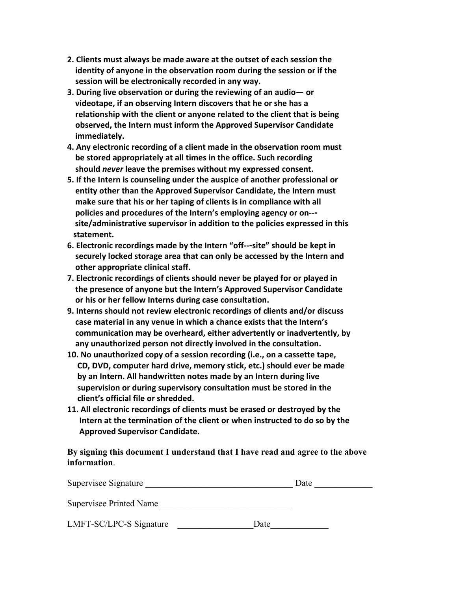- **2. Clients must always be made aware at the outset of each session the identity of anyone in the observation room during the session or if the session will be electronically recorded in any way.**
- **3. During live observation or during the reviewing of an audio— or videotape, if an observing Intern discovers that he or she has a relationship with the client or anyone related to the client that is being observed, the Intern must inform the Approved Supervisor Candidate immediately.**
- **4. Any electronic recording of a client made in the observation room must be stored appropriately at all times in the office. Such recording should** *never* **leave the premises without my expressed consent.**
- **5. If the Intern is counseling under the auspice of another professional or entity other than the Approved Supervisor Candidate, the Intern must make sure that his or her taping of clients is in compliance with all policies and procedures of the Intern's employing agency or on--‐ site/administrative supervisor in addition to the policies expressed in this** statement.
- **6. Electronic recordings made by the Intern "off--‐site" should be kept in securely locked storage area that can only be accessed by the Intern and other appropriate clinical staff.**
- **7. Electronic recordings of clients should never be played for or played in the presence of anyone but the Intern's Approved Supervisor Candidate or his or her fellow Interns during case consultation.**
- **9. Interns should not review electronic recordings of clients and/or discuss case material in any venue in which a chance exists that the Intern's communication may be overheard, either advertently or inadvertently, by any unauthorized person not directly involved in the consultation.**
- **10. No unauthorized copy of a session recording (i.e., on a cassette tape, CD, DVD, computer hard drive, memory stick, etc.) should ever be made by an Intern. All handwritten notes made by an Intern during live supervision or during supervisory consultation must be stored in the client's official file or shredded.**
- **11. All electronic recordings of clients must be erased or destroyed by the Intern at the termination of the client or when instructed to do so by the Approved Supervisor Candidate.**

**By signing this document I understand that I have read and agree to the above information**.

| Supervisee Signature    |      | Date |
|-------------------------|------|------|
| Supervisee Printed Name |      |      |
| LMFT-SC/LPC-S Signature | Date |      |